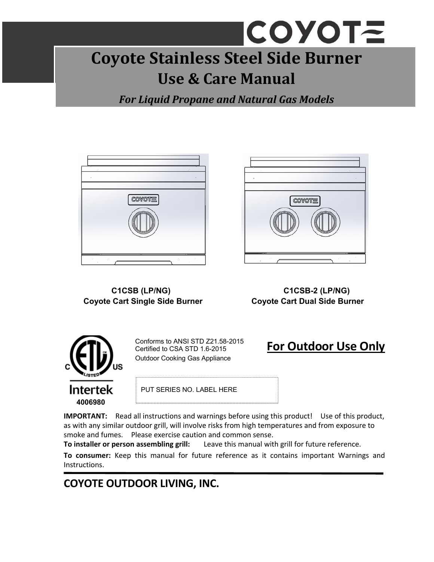# **COYOTE Coyote Stainless Steel Side Burner Use & Care Manual**

*For Liquid Propane and Natural Gas Models*



# **Coyote Cart Single Side Burner Coyote Cart Dual Side Burner**



 **C1CSB (LP/NG) C1CSB-2 (LP/NG)** 



Conforms to ANSI STD Z21.58-2015 Certified to CSA STD 1.6-2015 Outdoor Cooking Gas Appliance

## **For Outdoor Use Only**

PUT SERIES NO. LABEL HERE

**IMPORTANT:** Read all instructions and warnings before using this product! Use of this product, as with any similar outdoor grill, will involve risks from high temperatures and from exposure to smoke and fumes. Please exercise caution and common sense.

**To installer or person assembling grill:**  Leave this manual with grill for future reference.

**To consumer:**  Keep this manual for future reference as it contains important Warnings and Instructions.

### **COYOTE OUTDOOR LIVING, INC.**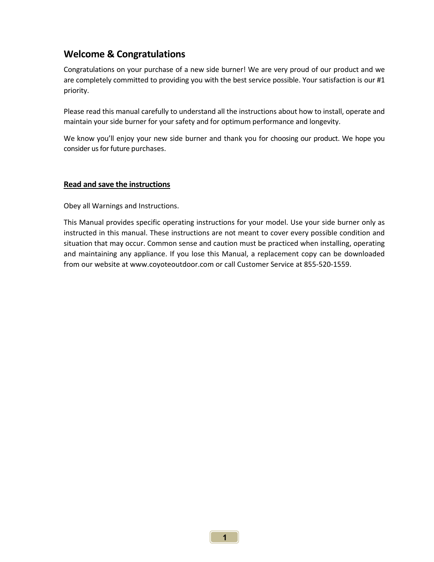#### **Welcome & Congratulations**

Congratulations on your purchase of a new side burner! We are very proud of our product and we are completely committed to providing you with the best service possible. Your satisfaction is our #1 priority.

Please read this manual carefully to understand all the instructions about how to install, operate and maintain your side burner for your safety and for optimum performance and longevity.

We know you'll enjoy your new side burner and thank you for choosing our product. We hope you consider us for future purchases.

#### **Read and save the instructions**

Obey all Warnings and Instructions.

This Manual provides specific operating instructions for your model. Use your side burner only as instructed in this manual. These instructions are not meant to cover every possible condition and situation that may occur. Common sense and caution must be practiced when installing, operating and maintaining any appliance. If you lose this Manual, a replacement copy can be downloaded from our website at www.coyoteoutdoor.com or call Customer Service at 855‐520‐1559.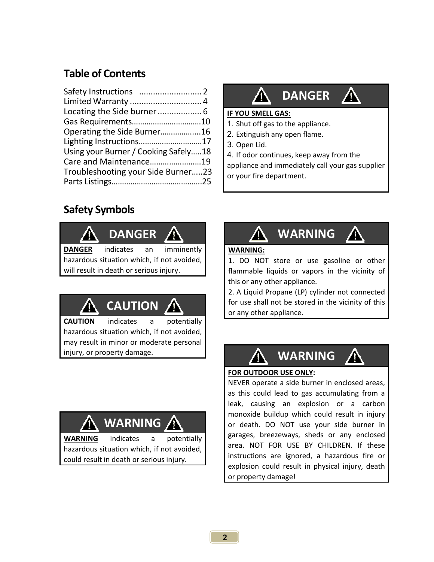### **Table of Contents**

| Gas Requirements10                   |  |
|--------------------------------------|--|
| Operating the Side Burner16          |  |
| Lighting Instructions17              |  |
| Using your Burner / Cooking Safely18 |  |
| Care and Maintenance19               |  |
| Troubleshooting your Side Burner23   |  |
|                                      |  |

<u> 1980 - John Stein, Amerikaansk politiker (</u>† 1920)

# **DANGER**

/N

#### **IF YOU SMELL GAS:**

- 1. Shut off gas to the appliance.
- 2. Extinguish any open flame.
- 3. Open Lid.
- 4. If odor continues, keep away from the

appliance and immediately call your gas supplier or your fire department.

### **Safety Symbols**



hazardous situation which, if not avoided, will result in death or serious injury.



**CAUTION** indicates a potentially hazardous situation which, if not avoided, may result in minor or moderate personal injury, or property damage.<br> **WARNING** 

# **WARNING**

**WARNING** indicates a potentially hazardous situation which, if not avoided, could result in death or serious injury.



#### **WARNING:**

1. DO NOT store or use gasoline or other flammable liquids or vapors in the vicinity of this or any other appliance.

2. A Liquid Propane (LP) cylinder not connected for use shall not be stored in the vicinity of this or any other appliance.



#### **FOR OUTDOOR USE ONLY:**

NEVER operate a side burner in enclosed areas, as this could lead to gas accumulating from a leak, causing an explosion or a carbon monoxide buildup which could result in injury or death. DO NOT use your side burner in garages, breezeways, sheds or any enclosed area. NOT FOR USE BY CHILDREN. If these instructions are ignored, a hazardous fire or explosion could result in physical injury, death or property damage!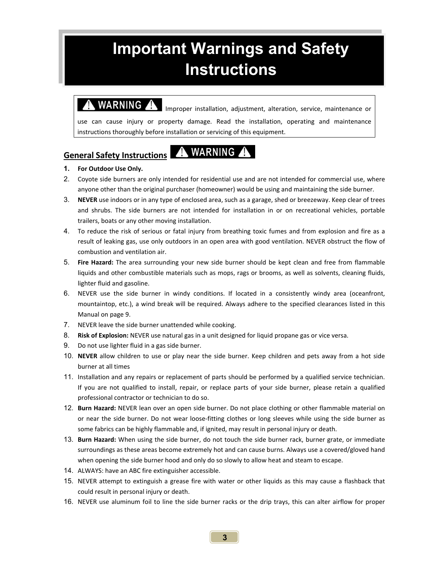# **Important Warnings and Safety Instructions**

**WARNING** Improper installation, adjustment, alteration, service, maintenance or use can cause injury or property damage. Read the installation, operating and maintenance instructions thoroughly before installation or servicing of this equipment.

#### **General Safety Instructions**

### A WARNING A

#### **1. For Outdoor Use Only.**

- 2. Coyote side burners are only intended for residential use and are not intended for commercial use, where anyone other than the original purchaser (homeowner) would be using and maintaining the side burner.
- 3. **NEVER** use indoors or in any type of enclosed area, such as a garage, shed or breezeway. Keep clear of trees and shrubs. The side burners are not intended for installation in or on recreational vehicles, portable trailers, boats or any other moving installation.
- 4. To reduce the risk of serious or fatal injury from breathing toxic fumes and from explosion and fire as a result of leaking gas, use only outdoors in an open area with good ventilation. NEVER obstruct the flow of combustion and ventilation air.
- 5. **Fire Hazard:** The area surrounding your new side burner should be kept clean and free from flammable liquids and other combustible materials such as mops, rags or brooms, as well as solvents, cleaning fluids, lighter fluid and gasoline.
- 6. NEVER use the side burner in windy conditions. If located in a consistently windy area (oceanfront, mountaintop, etc.), a wind break will be required. Always adhere to the specified clearances listed in this Manual on page 9.
- 7. NEVER leave the side burner unattended while cooking.
- 8. **Risk of Explosion:** NEVER use natural gas in a unit designed for liquid propane gas or vice versa.
- 9. Do not use lighter fluid in a gas side burner.
- 10. **NEVER** allow children to use or play near the side burner. Keep children and pets away from a hot side burner at all times
- 11. Installation and any repairs or replacement of parts should be performed by a qualified service technician. If you are not qualified to install, repair, or replace parts of your side burner, please retain a qualified professional contractor or technician to do so.
- 12. **Burn Hazard:** NEVER lean over an open side burner. Do not place clothing or other flammable material on or near the side burner. Do not wear loose-fitting clothes or long sleeves while using the side burner as some fabrics can be highly flammable and, if ignited, may result in personal injury or death.
- 13. **Burn Hazard:** When using the side burner, do not touch the side burner rack, burner grate, or immediate surroundings as these areas become extremely hot and can cause burns. Always use a covered/gloved hand when opening the side burner hood and only do so slowly to allow heat and steam to escape.
- 14. ALWAYS: have an ABC fire extinguisher accessible.
- 15. NEVER attempt to extinguish a grease fire with water or other liquids as this may cause a flashback that could result in personal injury or death.
- 16. NEVER use aluminum foil to line the side burner racks or the drip trays, this can alter airflow for proper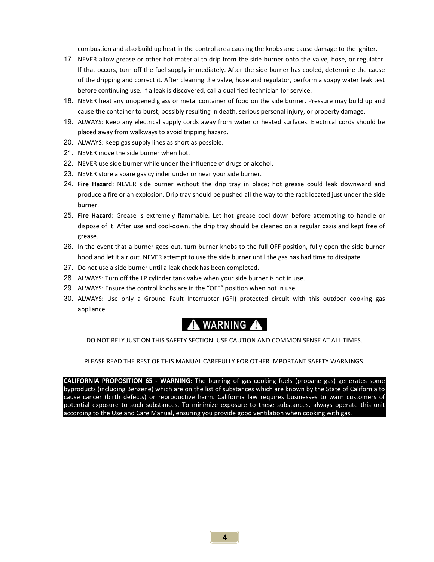combustion and also build up heat in the control area causing the knobs and cause damage to the igniter.

- 17. NEVER allow grease or other hot material to drip from the side burner onto the valve, hose, or regulator. If that occurs, turn off the fuel supply immediately. After the side burner has cooled, determine the cause of the dripping and correct it. After cleaning the valve, hose and regulator, perform a soapy water leak test before continuing use. If a leak is discovered, call a qualified technician for service.
- 18. NEVER heat any unopened glass or metal container of food on the side burner. Pressure may build up and cause the container to burst, possibly resulting in death, serious personal injury, or property damage.
- 19. ALWAYS: Keep any electrical supply cords away from water or heated surfaces. Electrical cords should be placed away from walkways to avoid tripping hazard.
- 20. ALWAYS: Keep gas supply lines as short as possible.
- 21. NEVER move the side burner when hot.
- 22. NEVER use side burner while under the influence of drugs or alcohol.
- 23. NEVER store a spare gas cylinder under or near your side burner.
- 24. **Fire Hazar**d: NEVER side burner without the drip tray in place; hot grease could leak downward and produce a fire or an explosion. Drip tray should be pushed all the way to the rack located just under the side burner.
- 25. **Fire Hazard:** Grease is extremely flammable. Let hot grease cool down before attempting to handle or dispose of it. After use and cool‐down, the drip tray should be cleaned on a regular basis and kept free of grease.
- 26. In the event that a burner goes out, turn burner knobs to the full OFF position, fully open the side burner hood and let it air out. NEVER attempt to use the side burner until the gas has had time to dissipate.
- 27. Do not use a side burner until a leak check has been completed.
- 28. ALWAYS: Turn off the LP cylinder tank valve when your side burner is not in use.
- 29. ALWAYS: Ensure the control knobs are in the "OFF" position when not in use.
- 30. ALWAYS: Use only a Ground Fault Interrupter (GFI) protected circuit with this outdoor cooking gas appliance.



DO NOT RELY JUST ON THIS SAFETY SECTION. USE CAUTION AND COMMON SENSE AT ALL TIMES.

PLEASE READ THE REST OF THIS MANUAL CAREFULLY FOR OTHER IMPORTANT SAFETY WARNINGS.

**CALIFORNIA PROPOSITION 65 ‐ WARNING:**  The burning of gas cooking fuels (propane gas) generates some byproducts (including Benzene) which are on the list of substances which are known by the State of California to cause cancer (birth defects) or reproductive harm. California law requires businesses to warn customers of potential exposure to such substances. To minimize exposure to these substances, always operate this unit according to the Use and Care Manual, ensuring you provide good ventilation when cooking with gas.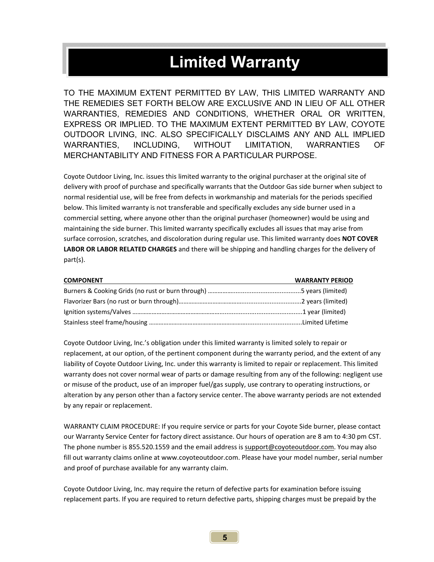# **Limited Warranty**

TO THE MAXIMUM EXTENT PERMITTED BY LAW, THIS LIMITED WARRANTY AND THE REMEDIES SET FORTH BELOW ARE EXCLUSIVE AND IN LIEU OF ALL OTHER WARRANTIES, REMEDIES AND CONDITIONS, WHETHER ORAL OR WRITTEN, EXPRESS OR IMPLIED. TO THE MAXIMUM EXTENT PERMITTED BY LAW, COYOTE OUTDOOR LIVING, INC. ALSO SPECIFICALLY DISCLAIMS ANY AND ALL IMPLIED WARRANTIES, INCLUDING, WITHOUT LIMITATION, WARRANTIES OF MERCHANTABILITY AND FITNESS FOR A PARTICULAR PURPOSE.

Coyote Outdoor Living, Inc. issues this limited warranty to the original purchaser at the original site of delivery with proof of purchase and specifically warrants that the Outdoor Gas side burner when subject to normal residential use, will be free from defects in workmanship and materials for the periods specified below. This limited warranty is not transferable and specifically excludes any side burner used in a commercial setting, where anyone other than the original purchaser (homeowner) would be using and maintaining the side burner. This limited warranty specifically excludes all issues that may arise from surface corrosion, scratches, and discoloration during regular use. This limited warranty does **NOT COVER LABOR OR LABOR RELATED CHARGES** and there will be shipping and handling charges for the delivery of part(s).

| <b>COMPONENT</b> | <b>WARRANTY PERIOD</b> |
|------------------|------------------------|
|                  |                        |
|                  |                        |
|                  |                        |
|                  |                        |

Coyote Outdoor Living, Inc.'s obligation under this limited warranty is limited solely to repair or replacement, at our option, of the pertinent component during the warranty period, and the extent of any liability of Coyote Outdoor Living, Inc. under this warranty is limited to repair or replacement. This limited warranty does not cover normal wear of parts or damage resulting from any of the following: negligent use or misuse of the product, use of an improper fuel/gas supply, use contrary to operating instructions, or alteration by any person other than a factory service center. The above warranty periods are not extended by any repair or replacement.

WARRANTY CLAIM PROCEDURE: If you require service or parts for your Coyote Side burner, please contact our Warranty Service Center for factory direct assistance. Our hours of operation are 8 am to 4:30 pm CST. The phone number is 855.520.1559 and the email address is support@coyoteoutdoor.com. You may also fill out warranty claims online at www.coyoteoutdoor.com. Please have your model number, serial number and proof of purchase available for any warranty claim.

Coyote Outdoor Living, Inc. may require the return of defective parts for examination before issuing replacement parts. If you are required to return defective parts, shipping charges must be prepaid by the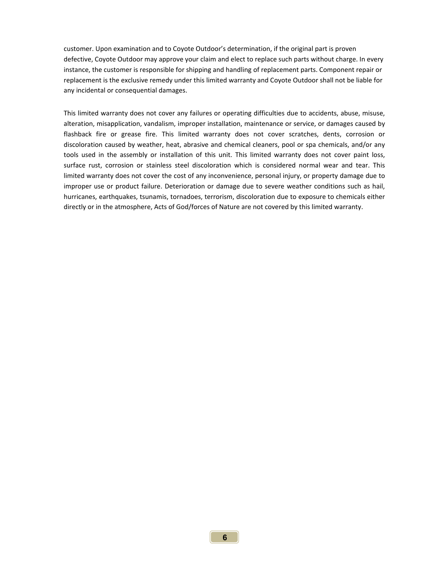customer. Upon examination and to Coyote Outdoor's determination, if the original part is proven defective, Coyote Outdoor may approve your claim and elect to replace such parts without charge. In every instance, the customer is responsible for shipping and handling of replacement parts. Component repair or replacement is the exclusive remedy under this limited warranty and Coyote Outdoor shall not be liable for any incidental or consequential damages.

This limited warranty does not cover any failures or operating difficulties due to accidents, abuse, misuse, alteration, misapplication, vandalism, improper installation, maintenance or service, or damages caused by flashback fire or grease fire. This limited warranty does not cover scratches, dents, corrosion or discoloration caused by weather, heat, abrasive and chemical cleaners, pool or spa chemicals, and/or any tools used in the assembly or installation of this unit. This limited warranty does not cover paint loss, surface rust, corrosion or stainless steel discoloration which is considered normal wear and tear. This limited warranty does not cover the cost of any inconvenience, personal injury, or property damage due to improper use or product failure. Deterioration or damage due to severe weather conditions such as hail, hurricanes, earthquakes, tsunamis, tornadoes, terrorism, discoloration due to exposure to chemicals either directly or in the atmosphere, Acts of God/forces of Nature are not covered by this limited warranty.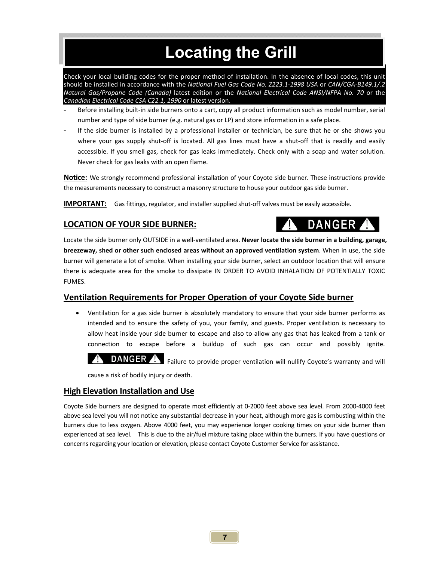# **Locating the Grill**

Check your local building codes for the proper method of installation. In the absence of local codes, this unit should be installed in accordance with the *National Fuel Gas Code No. Z223.1‐1998 USA* or *CAN/CGA‐B149.1/.2 Natural Gas/Propane Code (Canada)*  latest edition or the *National Electrical Code ANSI/NFPA No. 70*  or the *Canadian Electrical Code CSA C22.1, 1990* or latest version.

- Before installing built-in side burners onto a cart, copy all product information such as model number, serial number and type of side burner (e.g. natural gas or LP) and store information in a safe place.
- If the side burner is installed by a professional installer or technician, be sure that he or she shows you where your gas supply shut-off is located. All gas lines must have a shut-off that is readily and easily accessible. If you smell gas, check for gas leaks immediately. Check only with a soap and water solution. Never check for gas leaks with an open flame.

**Notice:** We strongly recommend professional installation of your Coyote side burner. These instructions provide the measurements necessary to construct a masonry structure to house your outdoor gas side burner.

**IMPORTANT:** Gas fittings, regulator, and installer supplied shut‐off valves must be easily accessible.

#### **LOCATION OF YOUR SIDE BURNER:**

**DANGER** 

Locate the side burner only OUTSIDE in a well‐ventilated area. **Never locate the side burner in a building, garage, breezeway, shed or other such enclosed areas without an approved ventilation system**. When in use, the side burner will generate a lot of smoke. When installing your side burner, select an outdoor location that will ensure there is adequate area for the smoke to dissipate IN ORDER TO AVOID INHALATION OF POTENTIALLY TOXIC FUMES.

#### **Ventilation Requirements for Proper Operation of your Coyote Side burner**

 Ventilation for a gas side burner is absolutely mandatory to ensure that your side burner performs as intended and to ensure the safety of you, your family, and guests. Proper ventilation is necessary to allow heat inside your side burner to escape and also to allow any gas that has leaked from a tank or connection to escape before a buildup of such gas can occur and possibly ignite.

DANGER A Failure to provide proper ventilation will nullify Coyote's warranty and will

cause a risk of bodily injury or death.

#### **High Elevation Installation and Use**

Coyote Side burners are designed to operate most efficiently at 0‐2000 feet above sea level. From 2000‐4000 feet above sea level you will not notice any substantial decrease in your heat, although more gas is combusting within the burners due to less oxygen. Above 4000 feet, you may experience longer cooking times on your side burner than experienced at sea level. This is due to the air/fuel mixture taking place within the burners. If you have questions or concerns regarding your location or elevation, please contact Coyote Customer Service for assistance.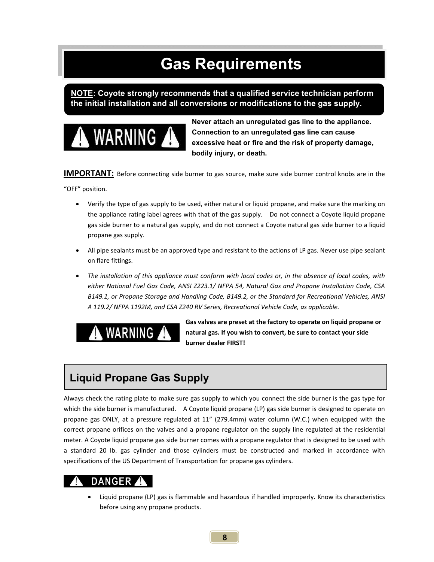# **Gas Requirements**

**NOTE: Coyote strongly recommends that a qualified service technician perform the initial installation and all conversions or modifications to the gas supply.** 



**Never attach an unregulated gas line to the appliance. Connection to an unregulated gas line can cause excessive heat or fire and the risk of property damage, bodily injury, or death.**

**IMPORTANT:** Before connecting side burner to gas source, make sure side burner control knobs are in the

"OFF" position.

- Verify the type of gas supply to be used, either natural or liquid propane, and make sure the marking on the appliance rating label agrees with that of the gas supply. Do not connect a Coyote liquid propane gas side burner to a natural gas supply, and do not connect a Coyote natural gas side burner to a liquid propane gas supply.
- All pipe sealants must be an approved type and resistant to the actions of LP gas. Never use pipe sealant on flare fittings.
- *The installation of this appliance must conform with local codes or, in the absence of local codes, with either National Fuel Gas Code, ANSI Z223.1/ NFPA 54, Natural Gas and Propane Installation Code, CSA B149.1, or Propane Storage and Handling Code, B149.2, or the Standard for Recreational Vehicles, ANSI A 119.2/ NFPA 1192M, and CSA Z240 RV Series, Recreational Vehicle Code, as applicable.*



**Gas valves are preset at the factory to operate on liquid propane or natural gas. If you wish to convert, be sure to contact your side burner dealer FIRST!** 

### **Liquid Propane Gas Supply**

Always check the rating plate to make sure gas supply to which you connect the side burner is the gas type for which the side burner is manufactured. A Coyote liquid propane (LP) gas side burner is designed to operate on propane gas ONLY, at a pressure regulated at 11" (279.4mm) water column (W.C.) when equipped with the correct propane orifices on the valves and a propane regulator on the supply line regulated at the residential meter. A Coyote liquid propane gas side burner comes with a propane regulator that is designed to be used with a standard 20 lb. gas cylinder and those cylinders must be constructed and marked in accordance with specifications of the US Department of Transportation for propane gas cylinders.

### **DANGER**

 Liquid propane (LP) gas is flammable and hazardous if handled improperly. Know its characteristics before using any propane products.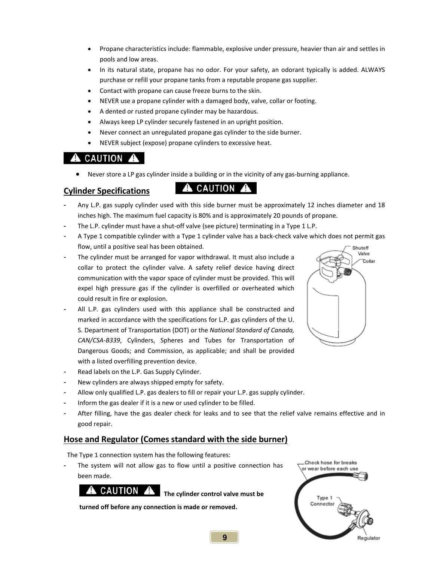- Propane characteristics include: flammable, explosive under pressure, heavier than air and settles in pools and low areas.
- In its natural state, propane has no odor. For your safety, an odorant typically is added. ALWAYS purchase or refill your propane tanks from a reputable propane gas supplier.
- Contact with propane can cause freeze burns to the skin.
- NEVER use a propane cylinder with a damaged body, valve, collar or footing.
- A dented or rusted propane cylinder may be hazardous.
- Always keep LP cylinder securely fastened in an upright position.
- Never connect an unregulated propane gas cylinder to the side burner.
- NEVER subject (expose) propane cylinders to excessive heat.

### **A** CAUTION A

Never store a LP gas cylinder inside a building or in the vicinity of any gas-burning appliance.

### Cylinder Specifications **A** CAUTION **A**

- Any L.P. gas supply cylinder used with this side burner must be approximately 12 inches diameter and 18 inches high. The maximum fuel capacity is 80% and is approximately 20 pounds of propane.
- The L.P. cylinder must have a shut-off valve (see picture) terminating in a Type 1 L.P.
- A Type 1 compatible cylinder with a Type 1 cylinder valve has a back‐check valve which does not permit gas flow, until a positive seal has been obtained. Shutoff
- The cylinder must be arranged for vapor withdrawal. It must also include a collar to protect the cylinder valve. A safety relief device having direct communication with the vapor space of cylinder must be provided. This will expel high pressure gas if the cylinder is overfilled or overheated which could result in fire or explosion.
- All L.P. gas cylinders used with this appliance shall be constructed and marked in accordance with the specifications for L.P. gas cylinders of the U. S. Department of Transportation (DOT) or the *National Standard of Canada, CAN/CSA‐B339*, Cylinders, Spheres and Tubes for Transportation of Dangerous Goods; and Commission, as applicable; and shall be provided with a listed overfilling prevention device.
- Read labels on the L.P. Gas Supply Cylinder.
- New cylinders are always shipped empty for safety.
- Allow only qualified L.P. gas dealers to fill or repair your L.P. gas supply cylinder.
- Inform the gas dealer if it is a new or used cylinder to be filled.
- After filling, have the gas dealer check for leaks and to see that the relief valve remains effective and in good repair.

#### **Hose and Regulator (Comes standard with the side burner)**

The Type 1 connection system has the following features:

The system will not allow gas to flow until a positive connection has been made.

#### **A** CAUTION A

**The cylinder control valve must be** 

**turned off before any connection is made or removed.**



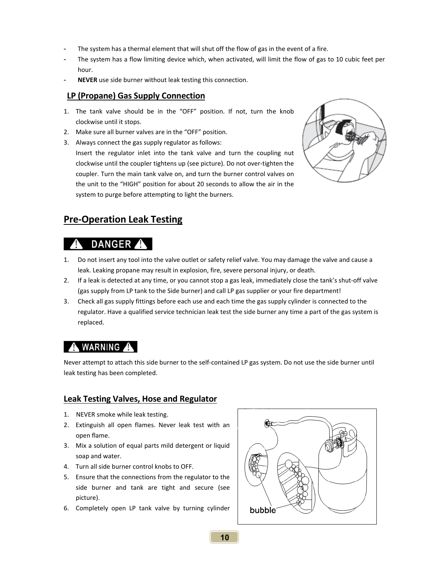- The system has a thermal element that will shut off the flow of gas in the event of a fire.
- The system has a flow limiting device which, when activated, will limit the flow of gas to 10 cubic feet per hour.
- **NEVER** use side burner without leak testing this connection.

#### **LP (Propane) Gas Supply Connection**

- 1. The tank valve should be in the "OFF" position. If not, turn the knob clockwise until it stops.
- 2. Make sure all burner valves are in the "OFF" position.
- 3. Always connect the gas supply regulator as follows:

Insert the regulator inlet into the tank valve and turn the coupling nut clockwise until the coupler tightens up (see picture). Do not over‐tighten the coupler. Turn the main tank valve on, and turn the burner control valves on the unit to the "HIGH" position for about 20 seconds to allow the air in the system to purge before attempting to light the burners.



#### **Pre‐Operation Leak Testing**

### **DANGER**

- 1. Do not insert any tool into the valve outlet or safety relief valve. You may damage the valve and cause a leak. Leaking propane may result in explosion, fire, severe personal injury, or death.
- 2. If a leak is detected at any time, or you cannot stop a gas leak, immediately close the tank's shut‐off valve (gas supply from LP tank to the Side burner) and call LP gas supplier or your fire department!
- 3. Check all gas supply fittings before each use and each time the gas supply cylinder is connected to the regulator. Have a qualified service technician leak test the side burner any time a part of the gas system is replaced.

#### **A** WARNING **A**

Never attempt to attach this side burner to the self‐contained LP gas system. Do not use the side burner until leak testing has been completed.

#### **Leak Testing Valves, Hose and Regulator**

- 1. NEVER smoke while leak testing.
- 2. Extinguish all open flames. Never leak test with an open flame.
- 3. Mix a solution of equal parts mild detergent or liquid soap and water.
- 4. Turn all side burner control knobs to OFF.
- 5. Ensure that the connections from the regulator to the side burner and tank are tight and secure (see picture).
- 6. Completely open LP tank valve by turning cylinder

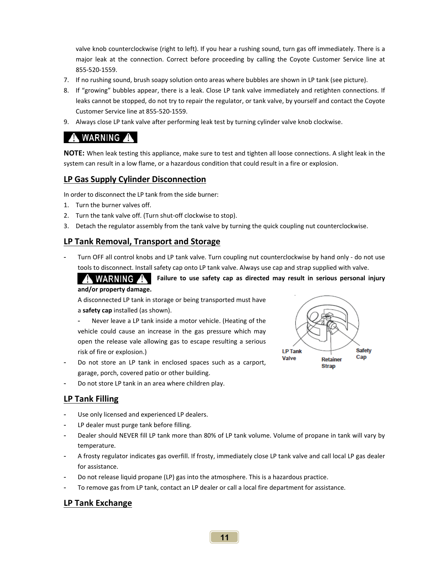valve knob counterclockwise (right to left). If you hear a rushing sound, turn gas off immediately. There is a major leak at the connection. Correct before proceeding by calling the Coyote Customer Service line at 855‐520‐1559.

- 7. If no rushing sound, brush soapy solution onto areas where bubbles are shown in LP tank (see picture).
- 8. If "growing" bubbles appear, there is a leak. Close LP tank valve immediately and retighten connections. If leaks cannot be stopped, do not try to repair the regulator, or tank valve, by yourself and contact the Coyote Customer Service line at 855‐520‐1559.
- 9. Always close LP tank valve after performing leak test by turning cylinder valve knob clockwise.

### A WARNING A

**NOTE:** When leak testing this appliance, make sure to test and tighten all loose connections. A slight leak in the system can result in a low flame, or a hazardous condition that could result in a fire or explosion.

#### **LP Gas Supply Cylinder Disconnection**

In order to disconnect the LP tank from the side burner:

- 1. Turn the burner valves off.
- 2. Turn the tank valve off. (Turn shut-off clockwise to stop).
- 3. Detach the regulator assembly from the tank valve by turning the quick coupling nut counterclockwise.

#### **LP Tank Removal, Transport and Storage**

Turn OFF all control knobs and LP tank valve. Turn coupling nut counterclockwise by hand only - do not use tools to disconnect. Install safety cap onto LP tank valve. Always use cap and strap supplied with valve.

A WARNING A **Failure to use safety cap as directed may result in serious personal injury** 

#### **and/or property damage.**

A disconnected LP tank in storage or being transported must have a **safety cap** installed (as shown).

Never leave a LP tank inside a motor vehicle. (Heating of the vehicle could cause an increase in the gas pressure which may open the release vale allowing gas to escape resulting a serious risk of fire or explosion.)

- Do not store an LP tank in enclosed spaces such as a carport, garage, porch, covered patio or other building.
- Do not store LP tank in an area where children play.

#### **LP Tank Filling**

- Use only licensed and experienced LP dealers.
- LP dealer must purge tank before filling.
- Dealer should NEVER fill LP tank more than 80% of LP tank volume. Volume of propane in tank will vary by temperature.
- A frosty regulator indicates gas overfill. If frosty, immediately close LP tank valve and call local LP gas dealer for assistance.
- Do not release liquid propane (LP) gas into the atmosphere. This is a hazardous practice.
- To remove gas from LP tank, contact an LP dealer or call a local fire department for assistance.

#### **LP Tank Exchange**

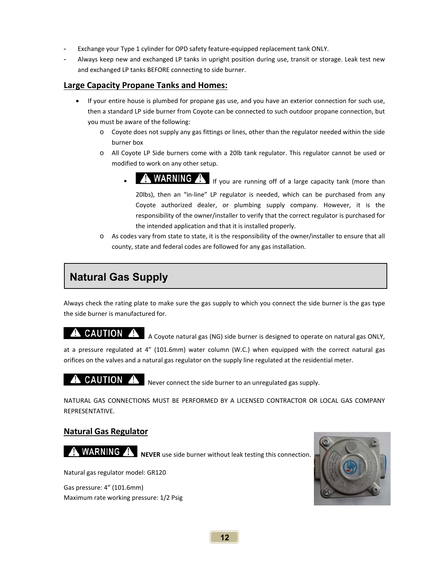- Exchange your Type 1 cylinder for OPD safety feature-equipped replacement tank ONLY.
- Always keep new and exchanged LP tanks in upright position during use, transit or storage. Leak test new and exchanged LP tanks BEFORE connecting to side burner.

#### **Large Capacity Propane Tanks and Homes:**

- If your entire house is plumbed for propane gas use, and you have an exterior connection for such use, then a standard LP side burner from Coyote can be connected to such outdoor propane connection, but you must be aware of the following:
	- o Coyote does not supply any gas fittings or lines, other than the regulator needed within the side burner box
	- o All Coyote LP Side burners come with a 20lb tank regulator. This regulator cannot be used or modified to work on any other setup.
		- **WARNING**  $\triangle$  If you are running off of a large capacity tank (more than 20lbs), then an "in-line" LP regulator is needed, which can be purchased from any
			- Coyote authorized dealer, or plumbing supply company. However, it is the responsibility of the owner/installer to verify that the correct regulator is purchased for the intended application and that it is installed properly.
	- o As codes vary from state to state, it is the responsibility of the owner/installer to ensure that all county, state and federal codes are followed for any gas installation.

### **Natural Gas Supply**

Always check the rating plate to make sure the gas supply to which you connect the side burner is the gas type the side burner is manufactured for.

#### **CAUTION** A Coyote natural gas (NG) side burner is designed to operate on natural gas ONLY,

at a pressure regulated at 4" (101.6mm) water column (W.C.) when equipped with the correct natural gas orifices on the valves and a natural gas regulator on the supply line regulated at the residential meter.

#### CAUTION A

Never connect the side burner to an unregulated gas supply.

NATURAL GAS CONNECTIONS MUST BE PERFORMED BY A LICENSED CONTRACTOR OR LOCAL GAS COMPANY REPRESENTATIVE.

#### **Natural Gas Regulator**

**WARNING A** NEVER use side burner without leak testing this connection.

Natural gas regulator model: GR120

Gas pressure: 4" (101.6mm) Maximum rate working pressure: 1/2 Psig

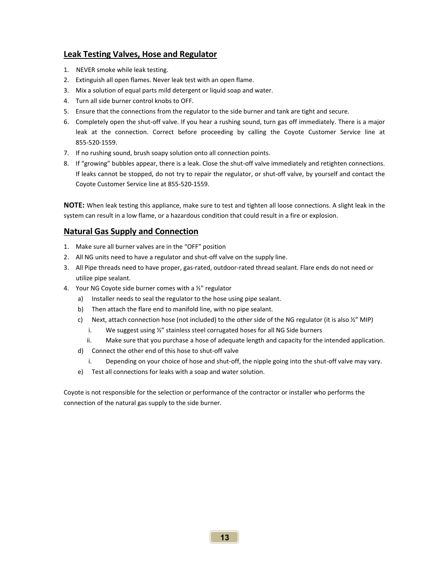#### **Leak Testing Valves, Hose and Regulator**

- 1. NEVER smoke while leak testing.
- 2. Extinguish all open flames. Never leak test with an open flame.
- 3. Mix a solution of equal parts mild detergent or liquid soap and water.
- 4. Turn all side burner control knobs to OFF.
- 5. Ensure that the connections from the regulator to the side burner and tank are tight and secure.
- 6. Completely open the shut‐off valve. If you hear a rushing sound, turn gas off immediately. There is a major leak at the connection. Correct before proceeding by calling the Coyote Customer Service line at 855‐520‐1559.
- 7. If no rushing sound, brush soapy solution onto all connection points.
- 8. If "growing" bubbles appear, there is a leak. Close the shut-off valve immediately and retighten connections. If leaks cannot be stopped, do not try to repair the regulator, or shut-off valve, by yourself and contact the Coyote Customer Service line at 855‐520‐1559.

**NOTE:** When leak testing this appliance, make sure to test and tighten all loose connections. A slight leak in the system can result in a low flame, or a hazardous condition that could result in a fire or explosion.

#### **Natural Gas Supply and Connection**

- 1. Make sure all burner valves are in the "OFF" position
- 2. All NG units need to have a regulator and shut-off valve on the supply line.
- 3. All Pipe threads need to have proper, gas‐rated, outdoor‐rated thread sealant. Flare ends do not need or utilize pipe sealant.
- 4. Your NG Coyote side burner comes with a ½" regulator
	- a) Installer needs to seal the regulator to the hose using pipe sealant.
	- b) Then attach the flare end to manifold line, with no pipe sealant.
	- c) Next, attach connection hose (not included) to the other side of the NG regulator (it is also  $\frac{1}{2}$ " MIP)
		- i. We suggest using ½" stainless steel corrugated hoses for all NG Side burners
		- ii. Make sure that you purchase a hose of adequate length and capacity for the intended application.
	- d) Connect the other end of this hose to shut‐off valve
		- i. Depending on your choice of hose and shut‐off, the nipple going into the shut‐off valve may vary.
	- e) Test all connections for leaks with a soap and water solution.

Coyote is not responsible for the selection or performance of the contractor or installer who performs the connection of the natural gas supply to the side burner.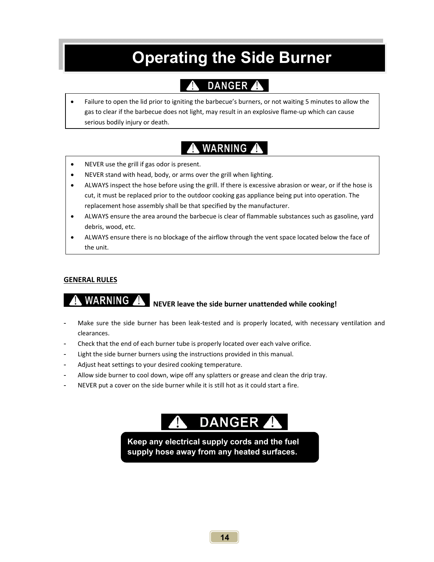# **Operating the Side Burner**

# DANGER A

 Failure to open the lid prior to igniting the barbecue's burners, or not waiting 5 minutes to allow the gas to clear if the barbecue does not light, may result in an explosive flame‐up which can cause serious bodily injury or death.

## **WARNING**

- NEVER use the grill if gas odor is present.
- NEVER stand with head, body, or arms over the grill when lighting.
- ALWAYS inspect the hose before using the grill. If there is excessive abrasion or wear, or if the hose is cut, it must be replaced prior to the outdoor cooking gas appliance being put into operation. The replacement hose assembly shall be that specified by the manufacturer.
- ALWAYS ensure the area around the barbecue is clear of flammable substances such as gasoline, yard debris, wood, etc.
- ALWAYS ensure there is no blockage of the airflow through the vent space located below the face of the unit.

#### **GENERAL RULES**

# **NEVER leave the side burner unattended while cooking!**

- Make sure the side burner has been leak-tested and is properly located, with necessary ventilation and clearances.
- Check that the end of each burner tube is properly located over each valve orifice.
- Light the side burner burners using the instructions provided in this manual.
- Adjust heat settings to your desired cooking temperature.
- Allow side burner to cool down, wipe off any splatters or grease and clean the drip tray.
- NEVER put a cover on the side burner while it is still hot as it could start a fire.

# DANGER A

**Keep any electrical supply cords and the fuel supply hose away from any heated surfaces.**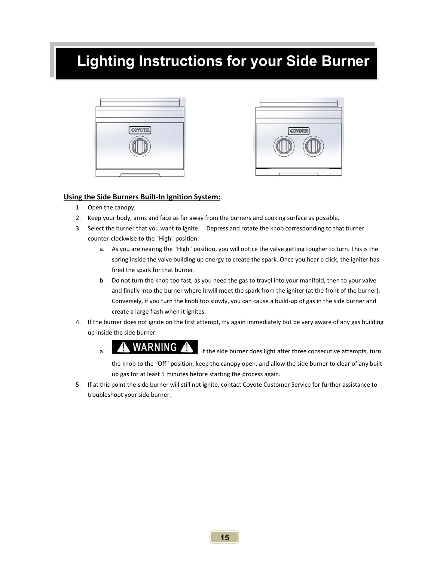# **Lighting Instructions for your Side Burner**





#### **Using the Side Burners Built‐In Ignition System:**

- 1. Open the canopy.
- 2. Keep your body, arms and face as far away from the burners and cooking surface as possible.
- 3. Select the burner that you want to ignite. Depress and rotate the knob corresponding to that burner counter‐clockwise to the "High" position.
	- a. As you are nearing the "High" position, you will notice the valve getting tougher to turn. This is the spring inside the valve building up energy to create the spark. Once you hear a click, the igniter has fired the spark for that burner.
	- b. Do not turn the knob too fast, as you need the gas to travel into your manifold, then to your valve and finally into the burner where it will meet the spark from the igniter (at the front of the burner). Conversely, if you turn the knob too slowly, you can cause a build‐up of gas in the side burner and create a large flash when it ignites.
- 4. If the burner does not ignite on the first attempt, try again immediately but be very aware of any gas building up inside the side burner.
	- a. **IMUARNING A** If the side burner does light after three consecutive attempts, turn the knob to the "Off" position, keep the canopy open, and allow the side burner to clear of any built up gas for at least 5 minutes before starting the process again.
- 5. If at this point the side burner will still not ignite, contact Coyote Customer Service for further assistance to troubleshoot your side burner.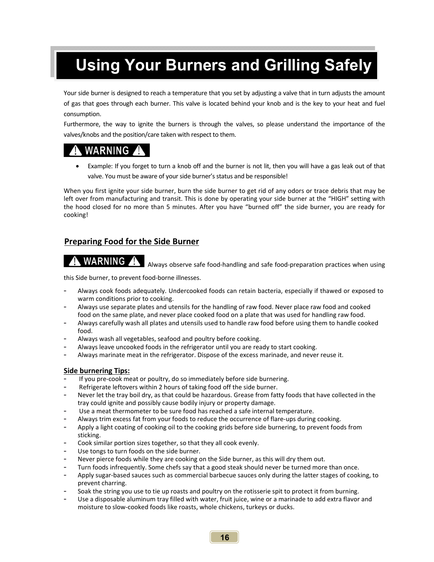# **Using Your Burners and Grilling Safely**

Your side burner is designed to reach a temperature that you set by adjusting a valve that in turn adjusts the amount of gas that goes through each burner. This valve is located behind your knob and is the key to your heat and fuel consumption.

Furthermore, the way to ignite the burners is through the valves, so please understand the importance of the valves/knobs and the position/care taken with respect to them.

### **WARNING A**

 Example: If you forget to turn a knob off and the burner is not lit, then you will have a gas leak out of that valve. You must be aware of your side burner's status and be responsible!

When you first ignite your side burner, burn the side burner to get rid of any odors or trace debris that may be left over from manufacturing and transit. This is done by operating your side burner at the "HIGH" setting with the hood closed for no more than 5 minutes. After you have "burned off" the side burner, you are ready for cooking!

#### **Preparing Food for the Side Burner**

### WARNING

Always observe safe food‐handling and safe food‐preparation practices when using

this Side burner, to prevent food‐borne illnesses.

- Always cook foods adequately. Undercooked foods can retain bacteria, especially if thawed or exposed to warm conditions prior to cooking.
- Always use separate plates and utensils for the handling of raw food. Never place raw food and cooked food on the same plate, and never place cooked food on a plate that was used for handling raw food.
- Always carefully wash all plates and utensils used to handle raw food before using them to handle cooked food.
- Always wash all vegetables, seafood and poultry before cooking.
- Always leave uncooked foods in the refrigerator until you are ready to start cooking.
- Always marinate meat in the refrigerator. Dispose of the excess marinade, and never reuse it.

#### **Side burnering Tips:**

- If you pre-cook meat or poultry, do so immediately before side burnering.
- Refrigerate leftovers within 2 hours of taking food off the side burner.
- Never let the tray boil dry, as that could be hazardous. Grease from fatty foods that have collected in the tray could ignite and possibly cause bodily injury or property damage.
- Use a meat thermometer to be sure food has reached a safe internal temperature.
- Always trim excess fat from your foods to reduce the occurrence of flare-ups during cooking.
- Apply a light coating of cooking oil to the cooking grids before side burnering, to prevent foods from sticking.
- Cook similar portion sizes together, so that they all cook evenly.
- Use tongs to turn foods on the side burner.
- Never pierce foods while they are cooking on the Side burner, as this will dry them out.
- Turn foods infrequently. Some chefs say that a good steak should never be turned more than once.
- Apply sugar‐based sauces such as commercial barbecue sauces only during the latter stages of cooking, to prevent charring.
- Soak the string you use to tie up roasts and poultry on the rotisserie spit to protect it from burning.
- Use a disposable aluminum tray filled with water, fruit juice, wine or a marinade to add extra flavor and moisture to slow‐cooked foods like roasts, whole chickens, turkeys or ducks.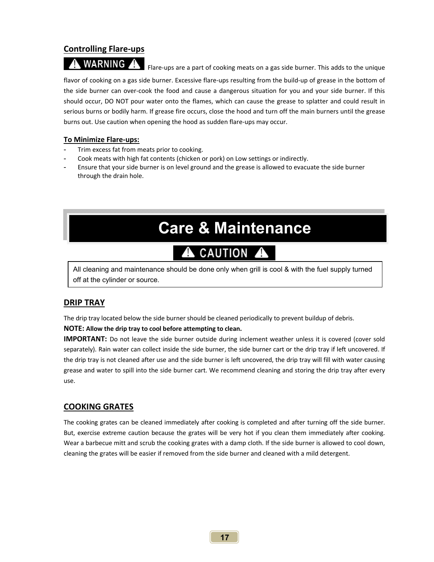#### **Controlling Flare‐ups**

WARNING Flare‐ups are a part of cooking meats on a gas side burner. This adds to the unique flavor of cooking on a gas side burner. Excessive flare-ups resulting from the build-up of grease in the bottom of the side burner can over-cook the food and cause a dangerous situation for you and your side burner. If this should occur, DO NOT pour water onto the flames, which can cause the grease to splatter and could result in serious burns or bodily harm. If grease fire occurs, close the hood and turn off the main burners until the grease burns out. Use caution when opening the hood as sudden flare‐ups may occur.

#### **To Minimize Flare‐ups:**

- Trim excess fat from meats prior to cooking.
- Cook meats with high fat contents (chicken or pork) on Low settings or indirectly.
- Ensure that your side burner is on level ground and the grease is allowed to evacuate the side burner through the drain hole.

# **Care & Maintenance**

#### CAUTION A ₳

All cleaning and maintenance should be done only when grill is cool & with the fuel supply turned off at the cylinder or source.

#### **DRIP TRAY**

The drip tray located below the side burner should be cleaned periodically to prevent buildup of debris.

#### **NOTE: Allow the drip tray to cool before attempting to clean.**

**IMPORTANT:** Do not leave the side burner outside during inclement weather unless it is covered (cover sold separately). Rain water can collect inside the side burner, the side burner cart or the drip tray if left uncovered. If the drip tray is not cleaned after use and the side burner is left uncovered, the drip tray will fill with water causing grease and water to spill into the side burner cart. We recommend cleaning and storing the drip tray after every use.

#### **COOKING GRATES**

The cooking grates can be cleaned immediately after cooking is completed and after turning off the side burner. But, exercise extreme caution because the grates will be very hot if you clean them immediately after cooking. Wear a barbecue mitt and scrub the cooking grates with a damp cloth. If the side burner is allowed to cool down, cleaning the grates will be easier if removed from the side burner and cleaned with a mild detergent.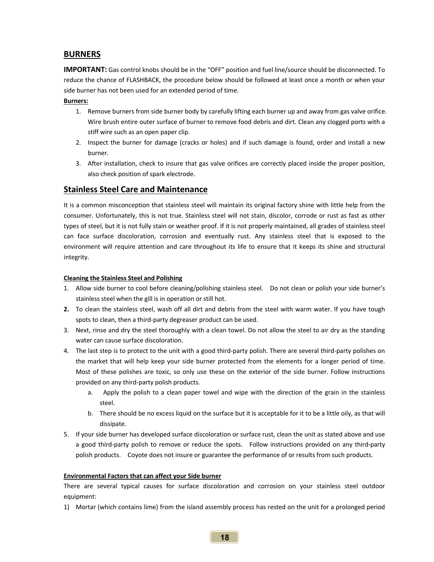#### **BURNERS**

**IMPORTANT:** Gas control knobs should be in the "OFF" position and fuel line/source should be disconnected. To reduce the chance of FLASHBACK, the procedure below should be followed at least once a month or when your side burner has not been used for an extended period of time.

#### **Burners:**

- 1. Remove burners from side burner body by carefully lifting each burner up and away from gas valve orifice. Wire brush entire outer surface of burner to remove food debris and dirt. Clean any clogged ports with a stiff wire such as an open paper clip.
- 2. Inspect the burner for damage (cracks or holes) and if such damage is found, order and install a new burner.
- 3. After installation, check to insure that gas valve orifices are correctly placed inside the proper position, also check position of spark electrode.

#### **Stainless Steel Care and Maintenance**

It is a common misconception that stainless steel will maintain its original factory shine with little help from the consumer. Unfortunately, this is not true. Stainless steel will not stain, discolor, corrode or rust as fast as other types of steel, but it is not fully stain or weather proof. If it is not properly maintained, all grades of stainless steel can face surface discoloration, corrosion and eventually rust. Any stainless steel that is exposed to the environment will require attention and care throughout its life to ensure that it keeps its shine and structural integrity.

#### **Cleaning the Stainless Steel and Polishing**

- 1. Allow side burner to cool before cleaning/polishing stainless steel. Do not clean or polish your side burner's stainless steel when the gill is in operation or still hot.
- **2.** To clean the stainless steel, wash off all dirt and debris from the steel with warm water. If you have tough spots to clean, then a third‐party degreaser product can be used.
- 3. Next, rinse and dry the steel thoroughly with a clean towel. Do not allow the steel to air dry as the standing water can cause surface discoloration.
- 4. The last step is to protect to the unit with a good third-party polish. There are several third-party polishes on the market that will help keep your side burner protected from the elements for a longer period of time. Most of these polishes are toxic, so only use these on the exterior of the side burner. Follow instructions provided on any third‐party polish products.
	- a. Apply the polish to a clean paper towel and wipe with the direction of the grain in the stainless steel.
	- b. There should be no excess liquid on the surface but it is acceptable for it to be a little oily, as that will dissipate.
- 5. If your side burner has developed surface discoloration or surface rust, clean the unit as stated above and use a good third-party polish to remove or reduce the spots. Follow instructions provided on any third-party polish products. Coyote does not insure or guarantee the performance of or results from such products.

#### **Environmental Factors that can affect your Side burner**

There are several typical causes for surface discoloration and corrosion on your stainless steel outdoor equipment:

1) Mortar (which contains lime) from the island assembly process has rested on the unit for a prolonged period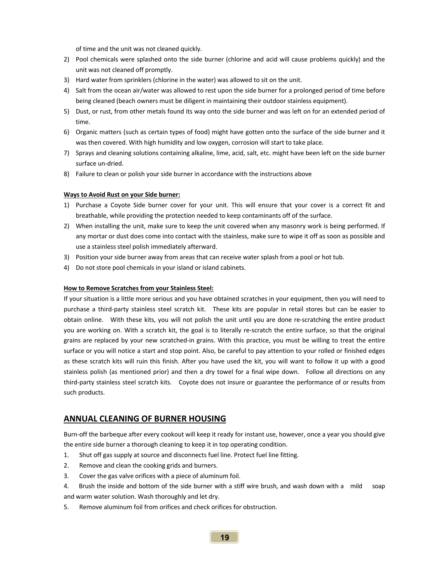of time and the unit was not cleaned quickly.

- 2) Pool chemicals were splashed onto the side burner (chlorine and acid will cause problems quickly) and the unit was not cleaned off promptly.
- 3) Hard water from sprinklers (chlorine in the water) was allowed to sit on the unit.
- 4) Salt from the ocean air/water was allowed to rest upon the side burner for a prolonged period of time before being cleaned (beach owners must be diligent in maintaining their outdoor stainless equipment).
- 5) Dust, or rust, from other metals found its way onto the side burner and was left on for an extended period of time.
- 6) Organic matters (such as certain types of food) might have gotten onto the surface of the side burner and it was then covered. With high humidity and low oxygen, corrosion will start to take place.
- 7) Sprays and cleaning solutions containing alkaline, lime, acid, salt, etc. might have been left on the side burner surface un‐dried.
- 8) Failure to clean or polish your side burner in accordance with the instructions above

#### **Ways to Avoid Rust on your Side burner:**

- 1) Purchase a Coyote Side burner cover for your unit. This will ensure that your cover is a correct fit and breathable, while providing the protection needed to keep contaminants off of the surface.
- 2) When installing the unit, make sure to keep the unit covered when any masonry work is being performed. If any mortar or dust does come into contact with the stainless, make sure to wipe it off as soon as possible and use a stainless steel polish immediately afterward.
- 3) Position your side burner away from areas that can receive water splash from a pool or hot tub.
- 4) Do not store pool chemicals in your island or island cabinets.

#### **How to Remove Scratches from your Stainless Steel:**

If your situation is a little more serious and you have obtained scratches in your equipment, then you will need to purchase a third-party stainless steel scratch kit. These kits are popular in retail stores but can be easier to obtain online. With these kits, you will not polish the unit until you are done re-scratching the entire product you are working on. With a scratch kit, the goal is to literally re-scratch the entire surface, so that the original grains are replaced by your new scratched-in grains. With this practice, you must be willing to treat the entire surface or you will notice a start and stop point. Also, be careful to pay attention to your rolled or finished edges as these scratch kits will ruin this finish. After you have used the kit, you will want to follow it up with a good stainless polish (as mentioned prior) and then a dry towel for a final wipe down. Follow all directions on any third-party stainless steel scratch kits. Coyote does not insure or guarantee the performance of or results from such products.

#### **ANNUAL CLEANING OF BURNER HOUSING**

Burn‐off the barbeque after every cookout will keep it ready for instant use, however, once a year you should give the entire side burner a thorough cleaning to keep it in top operating condition.

- 1. Shut off gas supply at source and disconnects fuel line. Protect fuel line fitting.
- 2. Remove and clean the cooking grids and burners.
- 3. Cover the gas valve orifices with a piece of aluminum foil.
- 4. Brush the inside and bottom of the side burner with a stiff wire brush, and wash down with a mild soap and warm water solution. Wash thoroughly and let dry.
- 5. Remove aluminum foil from orifices and check orifices for obstruction.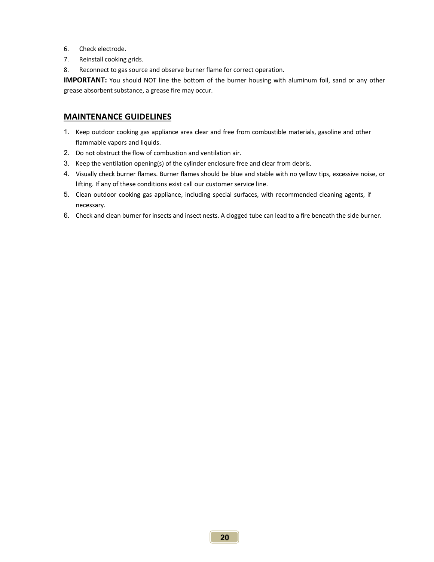- 6. Check electrode.
- 7. Reinstall cooking grids.
- 8. Reconnect to gas source and observe burner flame for correct operation.

**IMPORTANT:** You should NOT line the bottom of the burner housing with aluminum foil, sand or any other grease absorbent substance, a grease fire may occur.

#### **MAINTENANCE GUIDELINES**

- 1. Keep outdoor cooking gas appliance area clear and free from combustible materials, gasoline and other flammable vapors and liquids.
- 2. Do not obstruct the flow of combustion and ventilation air.
- 3. Keep the ventilation opening(s) of the cylinder enclosure free and clear from debris.
- 4. Visually check burner flames. Burner flames should be blue and stable with no yellow tips, excessive noise, or lifting. If any of these conditions exist call our customer service line.
- 5. Clean outdoor cooking gas appliance, including special surfaces, with recommended cleaning agents, if necessary.
- 6. Check and clean burner for insects and insect nests. A clogged tube can lead to a fire beneath the side burner.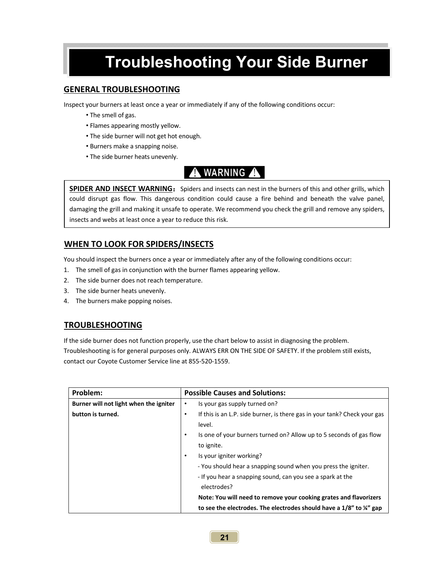# **Troubleshooting Your Side Burner**

#### **GENERAL TROUBLESHOOTING**

Inspect your burners at least once a year or immediately if any of the following conditions occur:

- The smell of gas.
- Flames appearing mostly yellow.
- The side burner will not get hot enough.
- Burners make a snapping noise.
- The side burner heats unevenly.

### **WARNING A**

**SPIDER AND INSECT WARNING:** Spiders and insects can nest in the burners of this and other grills, which could disrupt gas flow. This dangerous condition could cause a fire behind and beneath the valve panel, damaging the grill and making it unsafe to operate. We recommend you check the grill and remove any spiders, insects and webs at least once a year to reduce this risk.

#### **WHEN TO LOOK FOR SPIDERS/INSECTS**

You should inspect the burners once a year or immediately after any of the following conditions occur:

- 1. The smell of gas in conjunction with the burner flames appearing yellow.
- 2. The side burner does not reach temperature.
- 3. The side burner heats unevenly.
- 4. The burners make popping noises.

#### **TROUBLESHOOTING**

If the side burner does not function properly, use the chart below to assist in diagnosing the problem. Troubleshooting is for general purposes only. ALWAYS ERR ON THE SIDE OF SAFETY. If the problem still exists, contact our Coyote Customer Service line at 855‐520‐1559.

| Problem:                               | <b>Possible Causes and Solutions:</b>                                                  |  |
|----------------------------------------|----------------------------------------------------------------------------------------|--|
| Burner will not light when the igniter | Is your gas supply turned on?<br>$\bullet$                                             |  |
| button is turned.                      | If this is an L.P. side burner, is there gas in your tank? Check your gas<br>$\bullet$ |  |
|                                        | level.                                                                                 |  |
|                                        | Is one of your burners turned on? Allow up to 5 seconds of gas flow<br>$\bullet$       |  |
|                                        | to ignite.                                                                             |  |
|                                        | Is your igniter working?<br>$\bullet$                                                  |  |
|                                        | - You should hear a snapping sound when you press the igniter.                         |  |
|                                        | - If you hear a snapping sound, can you see a spark at the                             |  |
|                                        | electrodes?                                                                            |  |
|                                        | Note: You will need to remove your cooking grates and flavorizers                      |  |
|                                        | to see the electrodes. The electrodes should have a $1/8$ " to $\frac{1}{4}$ " gap     |  |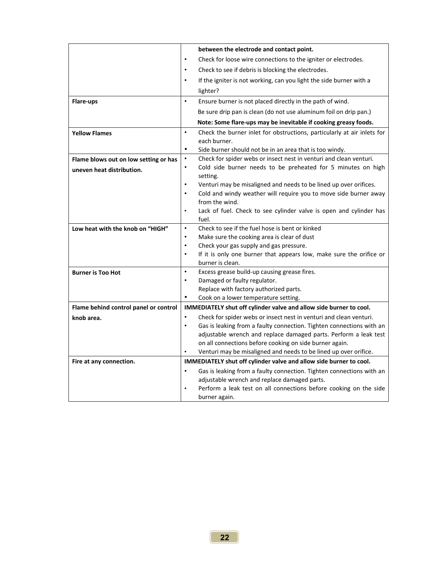|                                       | between the electrode and contact point.                                              |  |  |  |  |
|---------------------------------------|---------------------------------------------------------------------------------------|--|--|--|--|
|                                       | Check for loose wire connections to the igniter or electrodes.<br>٠                   |  |  |  |  |
|                                       | Check to see if debris is blocking the electrodes.<br>$\bullet$                       |  |  |  |  |
|                                       | If the igniter is not working, can you light the side burner with a<br>$\bullet$      |  |  |  |  |
|                                       | lighter?                                                                              |  |  |  |  |
| Flare-ups                             | $\bullet$<br>Ensure burner is not placed directly in the path of wind.                |  |  |  |  |
|                                       | Be sure drip pan is clean (do not use aluminum foil on drip pan.)                     |  |  |  |  |
|                                       | Note: Some flare-ups may be inevitable if cooking greasy foods.                       |  |  |  |  |
| <b>Yellow Flames</b>                  | Check the burner inlet for obstructions, particularly at air inlets for<br>$\bullet$  |  |  |  |  |
|                                       | each burner.                                                                          |  |  |  |  |
|                                       | $\bullet$<br>Side burner should not be in an area that is too windy.                  |  |  |  |  |
| Flame blows out on low setting or has | Check for spider webs or insect nest in venturi and clean venturi.<br>$\bullet$       |  |  |  |  |
| uneven heat distribution.             | $\bullet$<br>Cold side burner needs to be preheated for 5 minutes on high<br>setting. |  |  |  |  |
|                                       | Venturi may be misaligned and needs to be lined up over orifices.<br>$\bullet$        |  |  |  |  |
|                                       | Cold and windy weather will require you to move side burner away                      |  |  |  |  |
|                                       | from the wind.                                                                        |  |  |  |  |
|                                       | Lack of fuel. Check to see cylinder valve is open and cylinder has<br>fuel.           |  |  |  |  |
| Low heat with the knob on "HIGH"      | Check to see if the fuel hose is bent or kinked<br>$\bullet$                          |  |  |  |  |
|                                       | Make sure the cooking area is clear of dust<br>$\bullet$                              |  |  |  |  |
|                                       | Check your gas supply and gas pressure.<br>$\bullet$                                  |  |  |  |  |
|                                       | If it is only one burner that appears low, make sure the orifice or<br>$\bullet$      |  |  |  |  |
|                                       | burner is clean.                                                                      |  |  |  |  |
| <b>Burner is Too Hot</b>              | $\bullet$<br>Excess grease build-up causing grease fires.                             |  |  |  |  |
|                                       | Damaged or faulty regulator.<br>$\bullet$                                             |  |  |  |  |
|                                       | Replace with factory authorized parts.                                                |  |  |  |  |
|                                       | ٠<br>Cook on a lower temperature setting.                                             |  |  |  |  |
| Flame behind control panel or control | IMMEDIATELY shut off cylinder valve and allow side burner to cool.                    |  |  |  |  |
| knob area.                            | Check for spider webs or insect nest in venturi and clean venturi.<br>$\bullet$       |  |  |  |  |
|                                       | Gas is leaking from a faulty connection. Tighten connections with an<br>$\bullet$     |  |  |  |  |
|                                       | adjustable wrench and replace damaged parts. Perform a leak test                      |  |  |  |  |
|                                       | on all connections before cooking on side burner again.                               |  |  |  |  |
|                                       | Venturi may be misaligned and needs to be lined up over orifice.                      |  |  |  |  |
| Fire at any connection.               | IMMEDIATELY shut off cylinder valve and allow side burner to cool.                    |  |  |  |  |
|                                       | Gas is leaking from a faulty connection. Tighten connections with an<br>$\bullet$     |  |  |  |  |
|                                       | adjustable wrench and replace damaged parts.                                          |  |  |  |  |
|                                       | Perform a leak test on all connections before cooking on the side<br>burner again.    |  |  |  |  |
|                                       |                                                                                       |  |  |  |  |